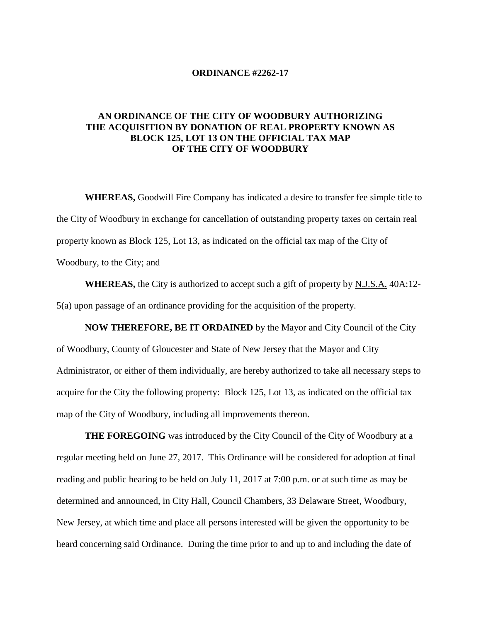## **ORDINANCE #2262-17**

## **AN ORDINANCE OF THE CITY OF WOODBURY AUTHORIZING THE ACQUISITION BY DONATION OF REAL PROPERTY KNOWN AS BLOCK 125, LOT 13 ON THE OFFICIAL TAX MAP OF THE CITY OF WOODBURY**

**WHEREAS,** Goodwill Fire Company has indicated a desire to transfer fee simple title to the City of Woodbury in exchange for cancellation of outstanding property taxes on certain real property known as Block 125, Lot 13, as indicated on the official tax map of the City of Woodbury, to the City; and

**WHEREAS,** the City is authorized to accept such a gift of property by N.J.S.A. 40A:12- 5(a) upon passage of an ordinance providing for the acquisition of the property.

**NOW THEREFORE, BE IT ORDAINED** by the Mayor and City Council of the City of Woodbury, County of Gloucester and State of New Jersey that the Mayor and City Administrator, or either of them individually, are hereby authorized to take all necessary steps to acquire for the City the following property: Block 125, Lot 13, as indicated on the official tax map of the City of Woodbury, including all improvements thereon.

**THE FOREGOING** was introduced by the City Council of the City of Woodbury at a regular meeting held on June 27, 2017. This Ordinance will be considered for adoption at final reading and public hearing to be held on July 11, 2017 at 7:00 p.m. or at such time as may be determined and announced, in City Hall, Council Chambers, 33 Delaware Street, Woodbury, New Jersey, at which time and place all persons interested will be given the opportunity to be heard concerning said Ordinance. During the time prior to and up to and including the date of